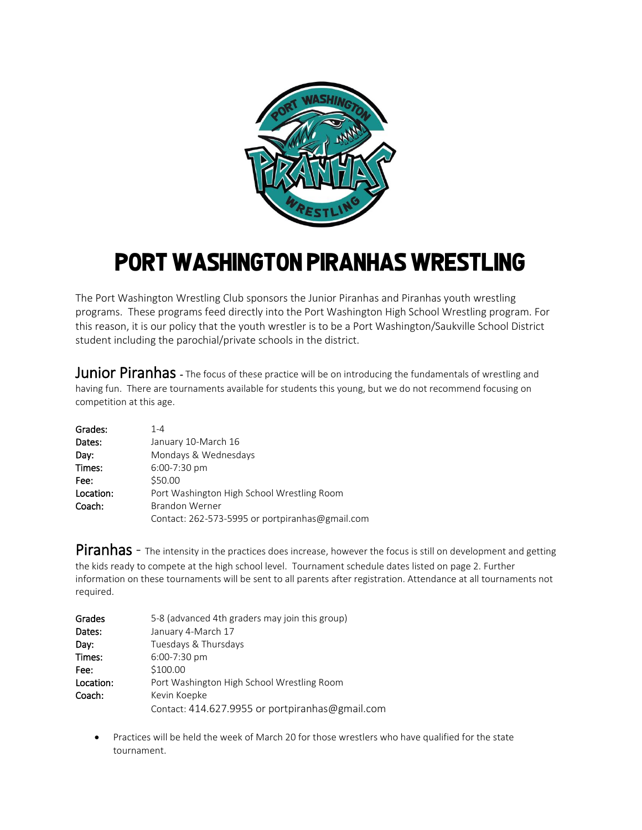

## Port Washington piranhas Wrestling

The Port Washington Wrestling Club sponsors the Junior Piranhas and Piranhas youth wrestling programs. These programs feed directly into the Port Washington High School Wrestling program. For this reason, it is our policy that the youth wrestler is to be a Port Washington/Saukville School District student including the parochial/private schools in the district.

Junior Piranhas - The focus of these practice will be on introducing the fundamentals of wrestling and having fun. There are tournaments available for students this young, but we do not recommend focusing on competition at this age.

| Grades:   | $1 - 4$                                         |  |  |
|-----------|-------------------------------------------------|--|--|
| Dates:    | January 10-March 16                             |  |  |
| Day:      | Mondays & Wednesdays                            |  |  |
| Times:    | 6:00-7:30 pm                                    |  |  |
| Fee:      | \$50.00                                         |  |  |
| Location: | Port Washington High School Wrestling Room      |  |  |
| Coach:    | <b>Brandon Werner</b>                           |  |  |
|           | Contact: 262-573-5995 or portpiranhas@gmail.com |  |  |

Piranhas - The intensity in the practices does increase, however the focus is still on development and getting the kids ready to compete at the high school level. Tournament schedule dates listed on page 2. Further information on these tournaments will be sent to all parents after registration. Attendance at all tournaments not required.

| Grades    | 5-8 (advanced 4th graders may join this group)  |  |
|-----------|-------------------------------------------------|--|
| Dates:    | January 4-March 17                              |  |
| Day:      | Tuesdays & Thursdays                            |  |
| Times:    | 6:00-7:30 pm                                    |  |
| Fee:      | \$100.00                                        |  |
| Location: | Port Washington High School Wrestling Room      |  |
| Coach:    | Kevin Koepke                                    |  |
|           | Contact: 414.627.9955 or portpiranhas@gmail.com |  |

 Practices will be held the week of March 20 for those wrestlers who have qualified for the state tournament.